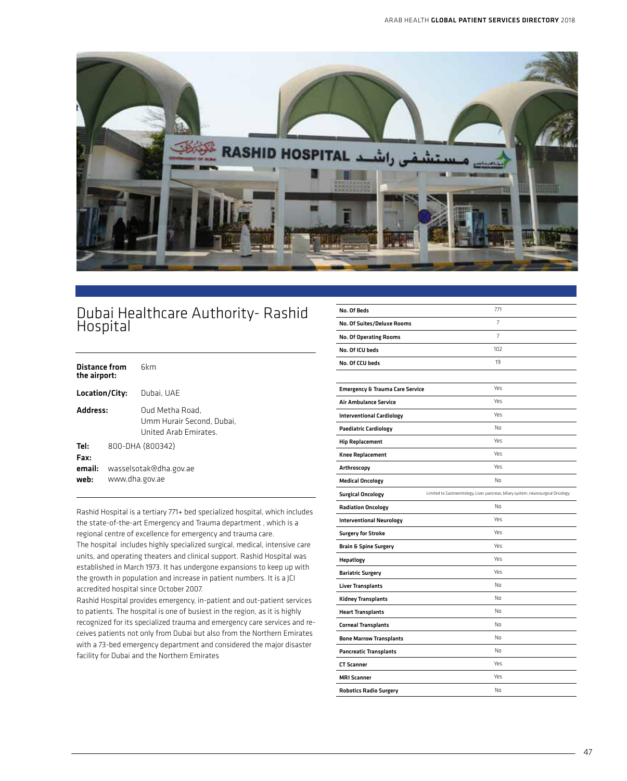

## Dubai Healthcare Authority- Rashid **Hospital**

| Distance from<br>the airport:                    | <b>fil</b> m                                                         |
|--------------------------------------------------|----------------------------------------------------------------------|
| Location/City:                                   | Dubai. UAE                                                           |
| Address:                                         | Oud Metha Road,<br>Umm Hurair Second. Dubai.<br>United Arah Emirates |
| Tel:<br>Fax:<br>email:<br>www.dha.gov.ae<br>web: | 800-DHA (800342)<br>wasselsotak@dha.gov.ae                           |

Rashid Hospital is a tertiary 771+ bed specialized hospital, which includes the state-of-the-art Emergency and Trauma department , which is a regional centre of excellence for emergency and trauma care. The hospital includes highly specialized surgical, medical, intensive care units, and operating theaters and clinical support. Rashid Hospital was established in March 1973. It has undergone expansions to keep up with the growth in population and increase in patient numbers. It is a JCI accredited hospital since October 2007.

Rashid Hospital provides emergency, in-patient and out-patient services to patients. The hospital is one of busiest in the region, as it is highly recognized for its specialized trauma and emergency care services and receives patients not only from Dubai but also from the Northern Emirates with a 73-bed emergency department and considered the major disaster facility for Dubai and the Northern Emirates

| No. Of Beds                                | 771                                                                                 |
|--------------------------------------------|-------------------------------------------------------------------------------------|
| No. Of Suites/Deluxe Rooms                 | 7                                                                                   |
| <b>No. Of Operating Rooms</b>              | $\overline{7}$                                                                      |
| No. Of ICU beds                            | 102                                                                                 |
| No. Of CCU beds                            | 19                                                                                  |
|                                            |                                                                                     |
| <b>Emergency &amp; Trauma Care Service</b> | Yes                                                                                 |
| Air Ambulance Service                      | <b>Yes</b>                                                                          |
| <b>Interventional Cardiology</b>           | <b>Yes</b>                                                                          |
| <b>Paediatric Cardiology</b>               | No                                                                                  |
| <b>Hip Replacement</b>                     | Yes                                                                                 |
| Knee Replacement                           | <b>Yes</b>                                                                          |
| Arthroscopy                                | Yes                                                                                 |
| <b>Medical Oncology</b>                    | No                                                                                  |
| <b>Surgical Oncology</b>                   | Limited to Gastroentrology, Liver, pancreas, biliary system, neurosurgical Oncology |
| <b>Radiation Oncology</b>                  | No                                                                                  |
| <b>Interventional Neurology</b>            | Yes                                                                                 |
| <b>Surgery for Stroke</b>                  | <b>Yes</b>                                                                          |
| <b>Brain &amp; Spine Surgery</b>           | Yes                                                                                 |
| Hepatlogy                                  | <b>Yes</b>                                                                          |
| <b>Bariatric Surgery</b>                   | <b>Yes</b>                                                                          |
| <b>Liver Transplants</b>                   | No                                                                                  |
| <b>Kidney Transplants</b>                  | No                                                                                  |
| <b>Heart Transplants</b>                   | No                                                                                  |
| <b>Corneal Transplants</b>                 | No                                                                                  |
| <b>Bone Marrow Transplants</b>             | No                                                                                  |
| <b>Pancreatic Transplants</b>              | No                                                                                  |
| <b>CT Scanner</b>                          | Yes                                                                                 |
| <b>MRI Scanner</b>                         | Yes                                                                                 |
| <b>Robotics Radio Surgery</b>              | No                                                                                  |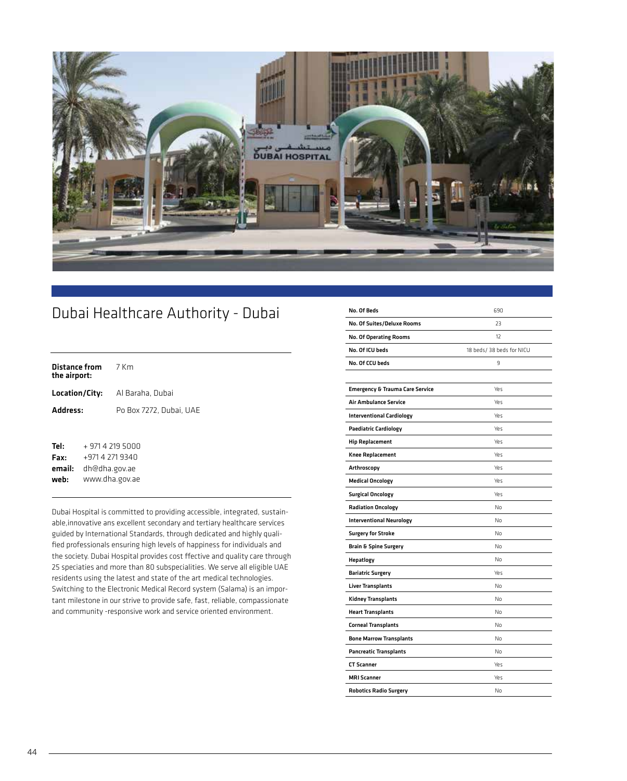

## Dubai Healthcare Authority - Dubai

| the airport: | <b>Distance from</b> 7 Km |                                        |
|--------------|---------------------------|----------------------------------------|
|              |                           | <b>Location/City:</b> Al Baraha, Dubai |
| Address:     |                           | Po Box 7272, Dubai, UAE                |
|              |                           |                                        |
| Tel:         | + 971 4 219 5000          |                                        |

Fax: email: web: +971 4 271 9340 dh@dha.gov.ae www.dha.gov.ae

Dubai Hospital is committed to providing accessible, integrated, sustainable,innovative ans excellent secondary and tertiary healthcare services guided by International Standards, through dedicated and highly qualified professionals ensuring high levels of happiness for individuals and the society. Dubai Hospital provides cost ffective and quality care through 25 speciaties and more than 80 subspecialities. We serve all eligible UAE residents using the latest and state of the art medical technologies. Switching to the Electronic Medical Record system (Salama) is an important milestone in our strive to provide safe, fast, reliable, compassionate and community -responsive work and service oriented environment.

| No. Of Beds                                | 690                       |
|--------------------------------------------|---------------------------|
| No. Of Suites/Deluxe Rooms                 | 23                        |
| <b>No. Of Operating Rooms</b>              | 12                        |
| No. Of ICU beds                            | 18 beds/ 38 beds for NICU |
| No. Of CCU beds                            | 9                         |
|                                            |                           |
| <b>Emergency &amp; Trauma Care Service</b> | Yρς                       |
| <b>Air Ambulance Service</b>               | Yes                       |
| <b>Interventional Cardiology</b>           | Yes                       |
| <b>Paediatric Cardiology</b>               | Yes                       |
| <b>Hip Replacement</b>                     | Yρς                       |
| <b>Knee Replacement</b>                    | Yes                       |
| Arthroscopy                                | Yes                       |
| <b>Medical Oncology</b>                    | Yes                       |
| <b>Surgical Oncology</b>                   | Yes                       |
| <b>Radiation Oncology</b>                  | No                        |
| <b>Interventional Neurology</b>            | No                        |
| <b>Surgery for Stroke</b>                  | No                        |
| <b>Brain &amp; Spine Surgery</b>           | No                        |
| Hepatlogy                                  | No                        |
| <b>Bariatric Surgery</b>                   | Yρς                       |
| <b>Liver Transplants</b>                   | No                        |
| Kidney Transplants                         | No                        |
| <b>Heart Transplants</b>                   | No                        |
| <b>Corneal Transplants</b>                 | No                        |
| <b>Bone Marrow Transplants</b>             | No                        |
| <b>Pancreatic Transplants</b>              | No                        |
| <b>CT Scanner</b>                          | Yes                       |
| <b>MRI Scanner</b>                         | Yes                       |
| <b>Robotics Radio Surgery</b>              | No                        |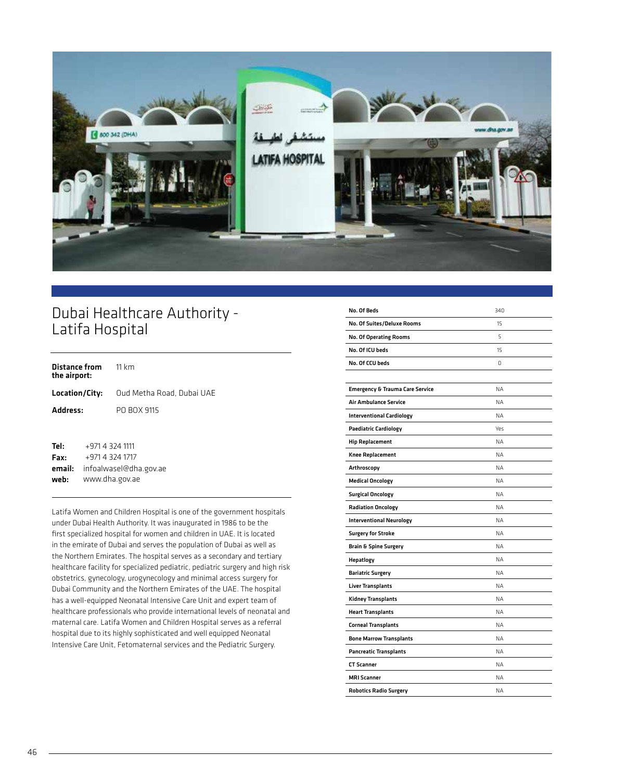

## Dubai Healthcare Authority - Latifa Hospital

| <b>Distance from</b> 11 km<br>the airport:         |                           |
|----------------------------------------------------|---------------------------|
| Location/City:                                     | Oud Metha Road, Dubai UAE |
| Address:                                           | PO BOX 9115               |
| Tel:<br>+971 4 324 1111<br>+971 4 374 1717<br>Fax: |                           |

Fax: email: web: +971 4 324 1717 infoalwasel@dha.gov.ae www.dha.gov.ae

Latifa Women and Children Hospital is one of the government hospitals under Dubai Health Authority. It was inaugurated in 1986 to be the first specialized hospital for women and children in UAE. It is located in the emirate of Dubai and serves the population of Dubai as well as the Northern Emirates. The hospital serves as a secondary and tertiary healthcare facility for specialized pediatric, pediatric surgery and high risk obstetrics, gynecology, urogynecology and minimal access surgery for Dubai Community and the Northern Emirates of the UAE. The hospital has a well-equipped Neonatal Intensive Care Unit and expert team of healthcare professionals who provide international levels of neonatal and maternal care. Latifa Women and Children Hospital serves as a referral hospital due to its highly sophisticated and well equipped Neonatal Intensive Care Unit, Fetomaternal services and the Pediatric Surgery.

| No. Of Beds                                | 340       |
|--------------------------------------------|-----------|
| No. Of Suites/Deluxe Rooms                 | 15        |
| <b>No. Of Operating Rooms</b>              | 5         |
| No. Of ICU beds                            | 15        |
| No. Of CCU beds                            | O.        |
|                                            |           |
| <b>Emergency &amp; Trauma Care Service</b> | <b>NA</b> |
| Air Ambulance Service                      | <b>NA</b> |
| <b>Interventional Cardiology</b>           | <b>NA</b> |
| <b>Paediatric Cardiology</b>               | Yes       |
| <b>Hip Replacement</b>                     | <b>NA</b> |
| <b>Knee Replacement</b>                    | <b>NA</b> |
| Arthroscopy                                | <b>NA</b> |
| <b>Medical Oncology</b>                    | <b>NA</b> |
| <b>Surgical Oncology</b>                   | <b>NA</b> |
| <b>Radiation Oncology</b>                  | <b>NA</b> |
| <b>Interventional Neurology</b>            | <b>NA</b> |
| <b>Surgery for Stroke</b>                  | <b>NA</b> |
| <b>Brain &amp; Spine Surgery</b>           | <b>NA</b> |
| Hepatlogy                                  | <b>NA</b> |
| <b>Bariatric Surgery</b>                   | <b>NA</b> |
| <b>Liver Transplants</b>                   | <b>NA</b> |
| <b>Kidney Transplants</b>                  | <b>NA</b> |
| <b>Heart Transplants</b>                   | <b>NA</b> |
| <b>Corneal Transplants</b>                 | <b>NA</b> |
| <b>Bone Marrow Transplants</b>             | <b>NA</b> |
| <b>Pancreatic Transplants</b>              | <b>NA</b> |
| <b>CT Scanner</b>                          | ΝA        |
| <b>MRI Scanner</b>                         | <b>NA</b> |
| <b>Robotics Radio Surgery</b>              | <b>NA</b> |